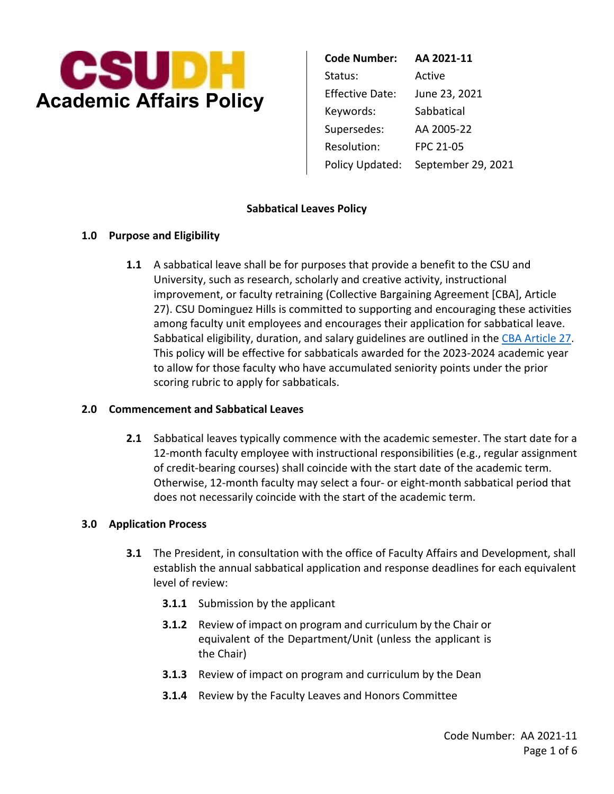

**Code Number: AA 2021‐11** Status: Active Supersedes: AA 2005‐22 Resolution: FPC 21-05 Policy Updated: September 29, 2021

### **Sabbatical Leaves Policy**

### **1.0 Purpose and Eligibility**

Sabbatical eligibility, duration, and salary guidelines are outlined in the CBA Article 27. **1.1** A sabbatical leave shall be for purposes that provide a benefit to the CSU and University, such as research, scholarly and creative activity, instructional improvement, or faculty retraining (Collective Bargaining Agreement [CBA], Article 27). CSU Dominguez Hills is committed to supporting and encouraging these activities among faculty unit employees and encourages their application for sabbatical leave. This policy will be effective for sabbaticals awarded for the 2023‐2024 academic year to allow for those faculty who have accumulated seniority points under the prior scoring rubric to apply for sabbaticals.

#### **2.0 Commencement and Sabbatical Leaves**

**2.1** Sabbatical leaves typically commence with the academic semester. The start date for a 12‐month faculty employee with instructional responsibilities (e.g., regular assignment of credit‐bearing courses) shall coincide with the start date of the academic term. Otherwise, 12‐month faculty may select a four‐ or eight‐month sabbatical period that does not necessarily coincide with the start of the academic term.

#### **3.0 Application Process**

- establish the annual sabbatical application and response deadlines for each equivalent **3.1** The President, in consultation with the office of Faculty Affairs and Development, shall level of review:
	- **3.1.1** Submission by the applicant
	- equivalent of the Department/Unit (unless the applicant is **3.1.2** Review of impact on program and curriculum by the Chair or the Chair)
	- **3.1.3** Review of impact on program and curriculum by the Dean
	- **3.1.4** Review by the Faculty Leaves and Honors Committee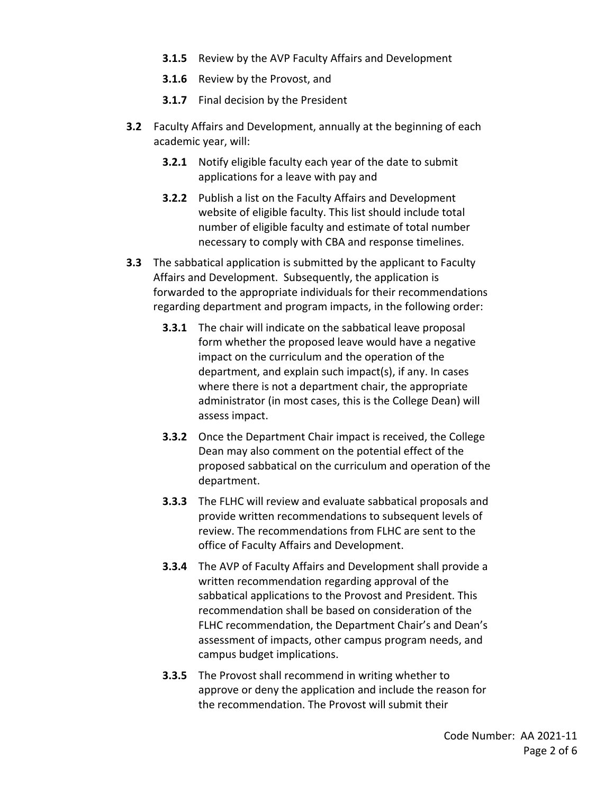- **3.1.5** Review by the AVP Faculty Affairs and Development
- **3.1.6** Review by the Provost, and
- **3.1.7** Final decision by the President
- **3.2** Faculty Affairs and Development, annually at the beginning of each academic year, will:
	- applications for a leave with pay and **3.2.1** Notify eligible faculty each year of the date to submit
	- **3.2.2** Publish a list on the Faculty Affairs and Development website of eligible faculty. This list should include total necessary to comply with CBA and response timelines. number of eligible faculty and estimate of total number
- **3.3** The sabbatical application is submitted by the applicant to Faculty Affairs and Development. Subsequently, the application is forwarded to the appropriate individuals for their recommendations regarding department and program impacts, in the following order:
	- **3.3.1** The chair will indicate on the sabbatical leave proposal form whether the proposed leave would have a negative impact on the curriculum and the operation of the department, and explain such impact(s), if any. In cases where there is not a department chair, the appropriate administrator (in most cases, this is the College Dean) will assess impact.
	- Dean may also comment on the potential effect of the **3.3.2** Once the Department Chair impact is received, the College proposed sabbatical on the curriculum and operation of the department.
	- **3.3.3** The FLHC will review and evaluate sabbatical proposals and review. The recommendations from FLHC are sent to the provide written recommendations to subsequent levels of office of Faculty Affairs and Development.
	- sabbatical applications to the Provost and President. This assessment of impacts, other campus program needs, and campus budget implications. **3.3.4** The AVP of Faculty Affairs and Development shall provide a written recommendation regarding approval of the recommendation shall be based on consideration of the FLHC recommendation, the Department Chair's and Dean's
	- the recommendation. The Provost will submit their **3.3.5** The Provost shall recommend in writing whether to approve or deny the application and include the reason for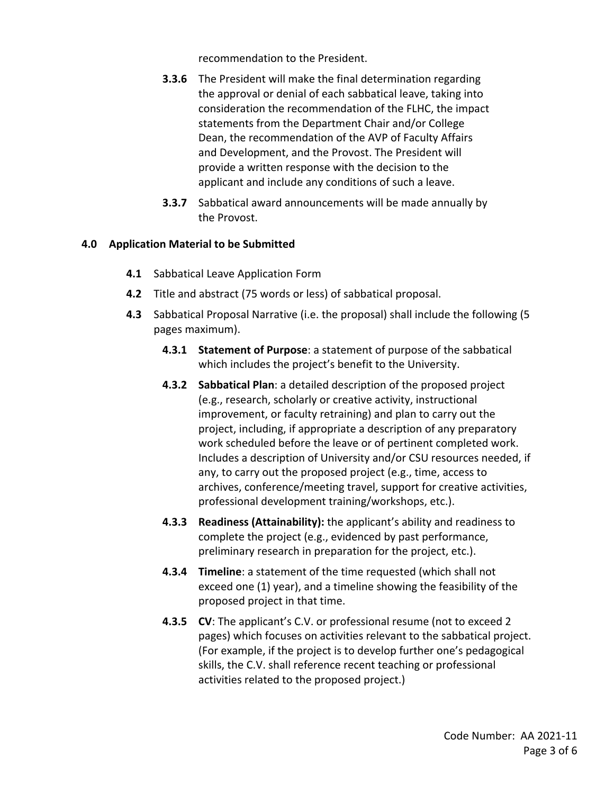recommendation to the President.

- Dean, the recommendation of the AVP of Faculty Affairs **3.3.6** The President will make the final determination regarding the approval or denial of each sabbatical leave, taking into consideration the recommendation of the FLHC, the impact statements from the Department Chair and/or College and Development, and the Provost. The President will provide a written response with the decision to the applicant and include any conditions of such a leave.
- **3.3.7** Sabbatical award announcements will be made annually by the Provost.

### **4.0 Application Material to be Submitted**

- **4.1** Sabbatical Leave Application Form
- **4.2** Title and abstract (75 words or less) of sabbatical proposal.
- **4.3** Sabbatical Proposal Narrative (i.e. the proposal) shall include the following (5 pages maximum).
	- **4.3.1 Statement of Purpose**: a statement of purpose of the sabbatical which includes the project's benefit to the University.
	- **4.3.2 Sabbatical Plan**: a detailed description of the proposed project (e.g., research, scholarly or creative activity, instructional improvement, or faculty retraining) and plan to carry out the project, including, if appropriate a description of any preparatory work scheduled before the leave or of pertinent completed work. Includes a description of University and/or CSU resources needed, if any, to carry out the proposed project (e.g., time, access to archives, conference/meeting travel, support for creative activities, professional development training/workshops, etc.).
	- **4.3.3 Readiness (Attainability):** the applicant's ability and readiness to complete the project (e.g., evidenced by past performance, preliminary research in preparation for the project, etc.).
	- **4.3.4 Timeline**: a statement of the time requested (which shall not exceed one (1) year), and a timeline showing the feasibility of the proposed project in that time.
	- pages) which focuses on activities relevant to the sabbatical project. **4.3.5 CV**: The applicant's C.V. or professional resume (not to exceed 2 (For example, if the project is to develop further one's pedagogical skills, the C.V. shall reference recent teaching or professional activities related to the proposed project.)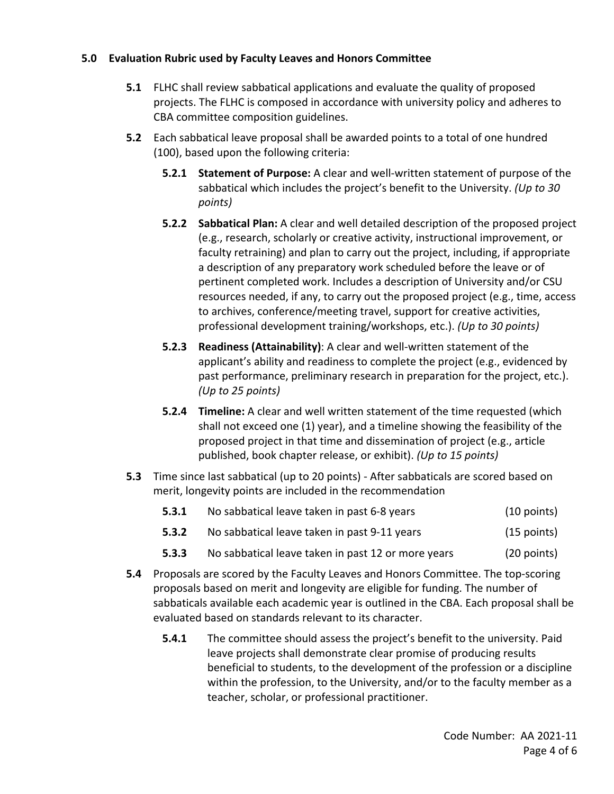# **5.0 Evaluation Rubric used by Faculty Leaves and Honors Committee**

- projects. The FLHC is composed in accordance with university policy and adheres to **5.1** FLHC shall review sabbatical applications and evaluate the quality of proposed CBA committee composition guidelines.
- **5.2** Each sabbatical leave proposal shall be awarded points to a total of one hundred (100), based upon the following criteria:
	- **5.2.1 Statement of Purpose:** A clear and well‐written statement of purpose of the sabbatical which includes the project's benefit to the University. *(Up to 30 points)*
	- (e.g., research, scholarly or creative activity, instructional improvement, or a description of any preparatory work scheduled before the leave or of **5.2.2 Sabbatical Plan:** A clear and well detailed description of the proposed project faculty retraining) and plan to carry out the project, including, if appropriate pertinent completed work. Includes a description of University and/or CSU resources needed, if any, to carry out the proposed project (e.g., time, access to archives, conference/meeting travel, support for creative activities, professional development training/workshops, etc.). *(Up to 30 points)*
	- **5.2.3 Readiness (Attainability)**: A clear and well‐written statement of the applicant's ability and readiness to complete the project (e.g., evidenced by past performance, preliminary research in preparation for the project, etc.). *(Up to 25 points)*
	- **5.2.4 Timeline:** A clear and well written statement of the time requested (which shall not exceed one (1) year), and a timeline showing the feasibility of the proposed project in that time and dissemination of project (e.g., article published, book chapter release, or exhibit). *(Up to 15 points)*
- **5.3** Time since last sabbatical (up to 20 points) After sabbaticals are scored based on merit, longevity points are included in the recommendation

| 5.3.1 | No sabbatical leave taken in past 6-8 years        | $(10$ points) |
|-------|----------------------------------------------------|---------------|
| 5.3.2 | No sabbatical leave taken in past 9-11 years       | $(15$ points) |
| 5.3.3 | No sabbatical leave taken in past 12 or more years | $(20$ points) |

- **5.4** Proposals are scored by the Faculty Leaves and Honors Committee. The top-scoring proposals based on merit and longevity are eligible for funding. The number of sabbaticals available each academic year is outlined in the CBA. Each proposal shall be evaluated based on standards relevant to its character.
	- **5.4.1** The committee should assess the project's benefit to the university. Paid leave projects shall demonstrate clear promise of producing results beneficial to students, to the development of the profession or a discipline within the profession, to the University, and/or to the faculty member as a teacher, scholar, or professional practitioner.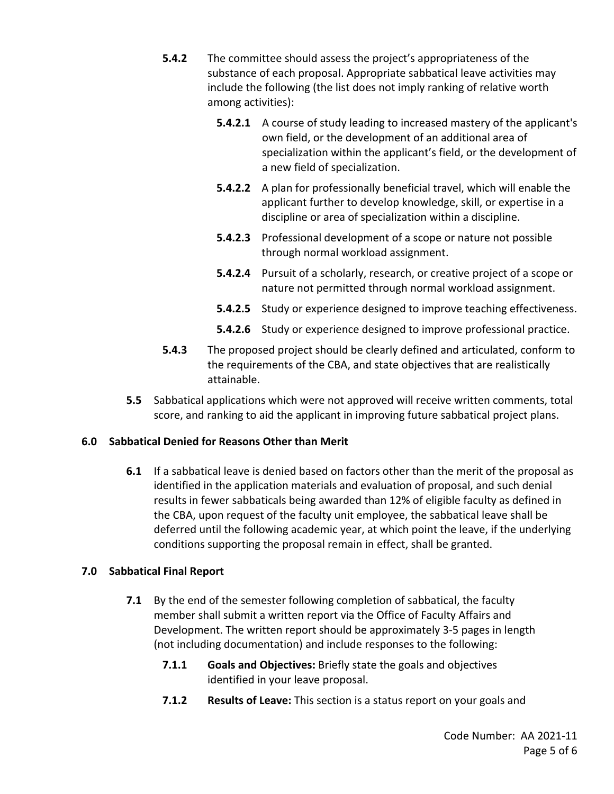- **5.4.2** The committee should assess the project's appropriateness of the substance of each proposal. Appropriate sabbatical leave activities may include the following (the list does not imply ranking of relative worth among activities):
	- **5.4.2.1** A course of study leading to increased mastery of the applicant's specialization within the applicant's field, or the development of own field, or the development of an additional area of a new field of specialization.
	- applicant further to develop knowledge, skill, or expertise in a **5.4.2.2** A plan for professionally beneficial travel, which will enable the discipline or area of specialization within a discipline.
	- **5.4.2.3** Professional development of a scope or nature not possible through normal workload assignment.
	- **5.4.2.4** Pursuit of a scholarly, research, or creative project of a scope or nature not permitted through normal workload assignment.
	- **5.4.2.5** Study or experience designed to improve teaching effectiveness.
	- **5.4.2.6** Study or experience designed to improve professional practice.
- **5.4.3** The proposed project should be clearly defined and articulated, conform to the requirements of the CBA, and state objectives that are realistically attainable.
- **5.5** Sabbatical applications which were not approved will receive written comments, total score, and ranking to aid the applicant in improving future sabbatical project plans.

# **6.0 Sabbatical Denied for Reasons Other than Merit**

 **6.1** If a sabbatical leave is denied based on factors other than the merit of the proposal as identified in the application materials and evaluation of proposal, and such denial results in fewer sabbaticals being awarded than 12% of eligible faculty as defined in deferred until the following academic year, at which point the leave, if the underlying the CBA, upon request of the faculty unit employee, the sabbatical leave shall be conditions supporting the proposal remain in effect, shall be granted.

# **7.0 Sabbatical Final Report**

- **7.1** By the end of the semester following completion of sabbatical, the faculty member shall submit a written report via the Office of Faculty Affairs and Development. The written report should be approximately 3‐5 pages in length (not including documentation) and include responses to the following:
	- **7.1.1 Goals and Objectives:** Briefly state the goals and objectives identified in your leave proposal.
	- **7.1.2 Results of Leave:** This section is a status report on your goals and